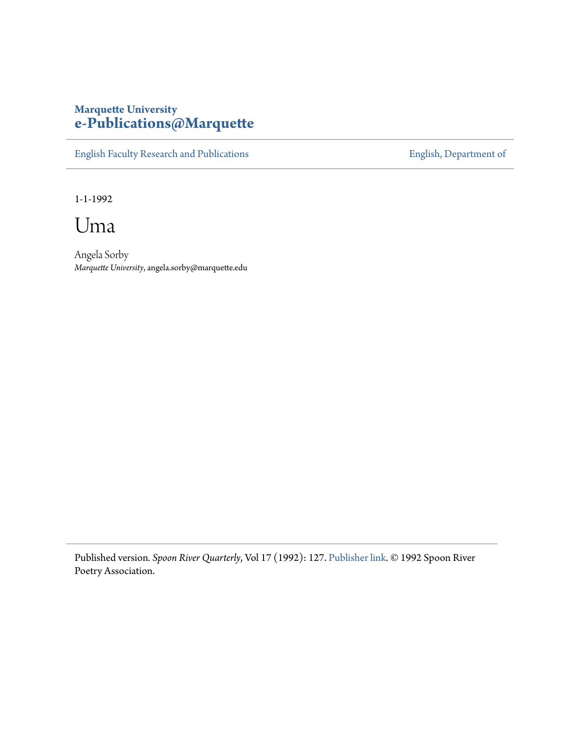## **Marquette University [e-Publications@Marquette](https://epublications.marquette.edu)**

[English Faculty Research and Publications](https://epublications.marquette.edu/english_fac) **[English, Department of](https://epublications.marquette.edu/english)** 

1-1-1992

Uma

Angela Sorby *Marquette University*, angela.sorby@marquette.edu

Published version*. Spoon River Quarterly*, Vol 17 (1992): 127. [Publisher link](http://www.srpr.org/archive.php). © 1992 Spoon River Poetry Association.